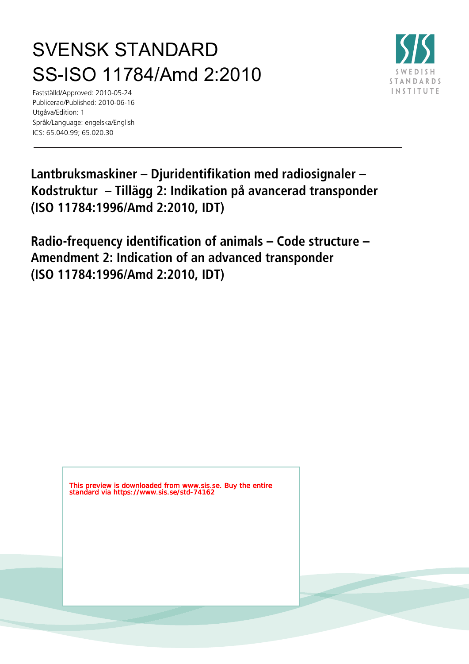# SVENSK STANDARD SS-ISO 11784/Amd 2:2010



Fastställd/Approved: 2010-05-24 Publicerad/Published: 2010-06-16 Utgåva/Edition: 1 Språk/Language: engelska/English ICS: 65.040.99; 65.020.30

**Lantbruksmaskiner – Djuridentifikation med radiosignaler – Kodstruktur – Tillägg 2: Indikation på avancerad transponder (ISO 11784:1996/Amd 2:2010, IDT)**

**Radio-frequency identification of animals – Code structure – Amendment 2: Indication of an advanced transponder (ISO 11784:1996/Amd 2:2010, IDT)**

> This preview is downloaded from www.sis.se. Buy the entire standard via https://www.sis.se/std-74162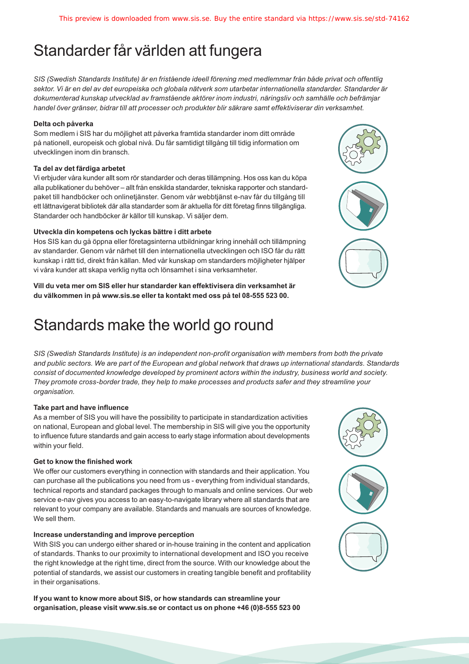# Standarder får världen att fungera

*SIS (Swedish Standards Institute) är en fristående ideell förening med medlemmar från både privat och offentlig sektor. Vi är en del av det europeiska och globala nätverk som utarbetar internationella standarder. Standarder är dokumenterad kunskap utvecklad av framstående aktörer inom industri, näringsliv och samhälle och befrämjar handel över gränser, bidrar till att processer och produkter blir säkrare samt effektiviserar din verksamhet.* 

#### **Delta och påverka**

Som medlem i SIS har du möjlighet att påverka framtida standarder inom ditt område på nationell, europeisk och global nivå. Du får samtidigt tillgång till tidig information om utvecklingen inom din bransch.

#### **Ta del av det färdiga arbetet**

Vi erbjuder våra kunder allt som rör standarder och deras tillämpning. Hos oss kan du köpa alla publikationer du behöver – allt från enskilda standarder, tekniska rapporter och standardpaket till handböcker och onlinetjänster. Genom vår webbtjänst e-nav får du tillgång till ett lättnavigerat bibliotek där alla standarder som är aktuella för ditt företag finns tillgängliga. Standarder och handböcker är källor till kunskap. Vi säljer dem.

#### **Utveckla din kompetens och lyckas bättre i ditt arbete**

Hos SIS kan du gå öppna eller företagsinterna utbildningar kring innehåll och tillämpning av standarder. Genom vår närhet till den internationella utvecklingen och ISO får du rätt kunskap i rätt tid, direkt från källan. Med vår kunskap om standarders möjligheter hjälper vi våra kunder att skapa verklig nytta och lönsamhet i sina verksamheter.

**Vill du veta mer om SIS eller hur standarder kan effektivisera din verksamhet är du välkommen in på www.sis.se eller ta kontakt med oss på tel 08-555 523 00.**

# Standards make the world go round

*SIS (Swedish Standards Institute) is an independent non-profit organisation with members from both the private and public sectors. We are part of the European and global network that draws up international standards. Standards consist of documented knowledge developed by prominent actors within the industry, business world and society. They promote cross-border trade, they help to make processes and products safer and they streamline your organisation.*

#### **Take part and have influence**

As a member of SIS you will have the possibility to participate in standardization activities on national, European and global level. The membership in SIS will give you the opportunity to influence future standards and gain access to early stage information about developments within your field.

#### **Get to know the finished work**

We offer our customers everything in connection with standards and their application. You can purchase all the publications you need from us - everything from individual standards, technical reports and standard packages through to manuals and online services. Our web service e-nav gives you access to an easy-to-navigate library where all standards that are relevant to your company are available. Standards and manuals are sources of knowledge. We sell them.

#### **Increase understanding and improve perception**

With SIS you can undergo either shared or in-house training in the content and application of standards. Thanks to our proximity to international development and ISO you receive the right knowledge at the right time, direct from the source. With our knowledge about the potential of standards, we assist our customers in creating tangible benefit and profitability in their organisations.

**If you want to know more about SIS, or how standards can streamline your organisation, please visit www.sis.se or contact us on phone +46 (0)8-555 523 00**



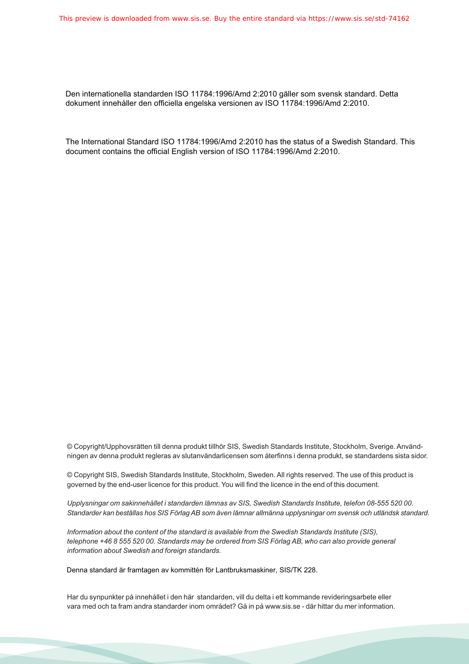Den internationella standarden ISO 11784:1996/Amd 2:2010 gäller som svensk standard. Detta dokument innehåller den officiella engelska versionen av ISO 11784:1996/Amd 2:2010.

The International Standard ISO 11784:1996/Amd 2:2010 has the status of a Swedish Standard. This document contains the official English version of ISO 11784:1996/Amd 2:2010.

© Copyright/Upphovsrätten till denna produkt tillhör SIS, Swedish Standards Institute, Stockholm, Sverige. Användningen av denna produkt regleras av slutanvändarlicensen som återfinns i denna produkt, se standardens sista sidor.

© Copyright SIS, Swedish Standards Institute, Stockholm, Sweden. All rights reserved. The use of this product is governed by the end-user licence for this product. You will find the licence in the end of this document.

*Upplysningar om sakinnehållet i standarden lämnas av SIS, Swedish Standards Institute, telefon 08-555 520 00. Standarder kan beställas hos SIS FörlagAB som även lämnar allmänna upplysningar om svensk och utländsk standard.*

*Information about the content of the standard is available from the Swedish Standards Institute (SIS), telephone +46 8 555 520 00. Standards may be ordered from SIS Förlag AB, who can also provide general information about Swedish and foreign standards.*

Denna standard är framtagen av kommittén för Lantbruksmaskiner, SIS/TK 228.

Har du synpunkter på innehållet i den här standarden, vill du delta i ett kommande revideringsarbete eller vara med och ta fram andra standarder inom området? Gå in på www.sis.se - där hittar du mer information.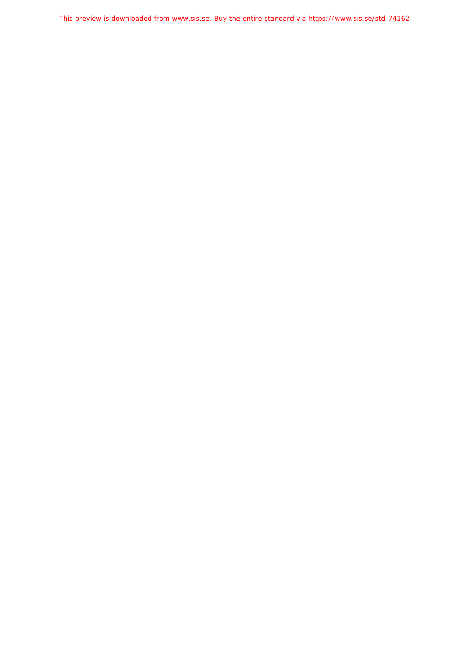This preview is downloaded from www.sis.se. Buy the entire standard via https://www.sis.se/std-74162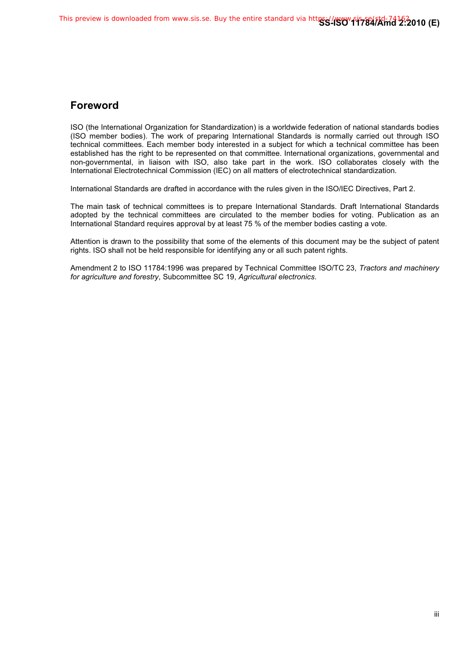**ISO 11784:1996/Amd.2:2010(E)**

### **Foreword**

ISO (the International Organization for Standardization) is a worldwide federation of national standards bodies (ISO member bodies). The work of preparing International Standards is normally carried out through ISO technical committees. Each member body interested in a subject for which a technical committee has been established has the right to be represented on that committee. International organizations, governmental and non-governmental, in liaison with ISO, also take part in the work. ISO collaborates closely with the International Electrotechnical Commission (IEC) on all matters of electrotechnical standardization.

International Standards are drafted in accordance with the rules given in the ISO/IEC Directives, Part 2.

The main task of technical committees is to prepare International Standards. Draft International Standards adopted by the technical committees are circulated to the member bodies for voting. Publication as an International Standard requires approval by at least 75 % of the member bodies casting a vote.

Attention is drawn to the possibility that some of the elements of this document may be the subject of patent rights. ISO shall not be held responsible for identifying any or all such patent rights.

Amendment 2 to ISO 11784:1996 was prepared by Technical Committee ISO/TC 23, *Tractors and machinery for agriculture and forestry*, Subcommittee SC 19, *Agricultural electronics*.